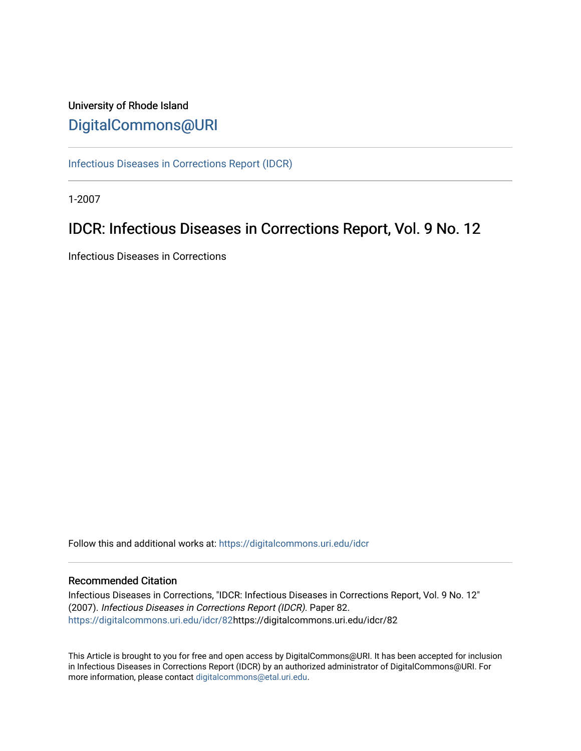## University of Rhode Island [DigitalCommons@URI](https://digitalcommons.uri.edu/)

[Infectious Diseases in Corrections Report \(IDCR\)](https://digitalcommons.uri.edu/idcr)

1-2007

## IDCR: Infectious Diseases in Corrections Report, Vol. 9 No. 12

Infectious Diseases in Corrections

Follow this and additional works at: [https://digitalcommons.uri.edu/idcr](https://digitalcommons.uri.edu/idcr?utm_source=digitalcommons.uri.edu%2Fidcr%2F82&utm_medium=PDF&utm_campaign=PDFCoverPages)

## Recommended Citation

Infectious Diseases in Corrections, "IDCR: Infectious Diseases in Corrections Report, Vol. 9 No. 12" (2007). Infectious Diseases in Corrections Report (IDCR). Paper 82. [https://digitalcommons.uri.edu/idcr/82h](https://digitalcommons.uri.edu/idcr/82?utm_source=digitalcommons.uri.edu%2Fidcr%2F82&utm_medium=PDF&utm_campaign=PDFCoverPages)ttps://digitalcommons.uri.edu/idcr/82

This Article is brought to you for free and open access by DigitalCommons@URI. It has been accepted for inclusion in Infectious Diseases in Corrections Report (IDCR) by an authorized administrator of DigitalCommons@URI. For more information, please contact [digitalcommons@etal.uri.edu.](mailto:digitalcommons@etal.uri.edu)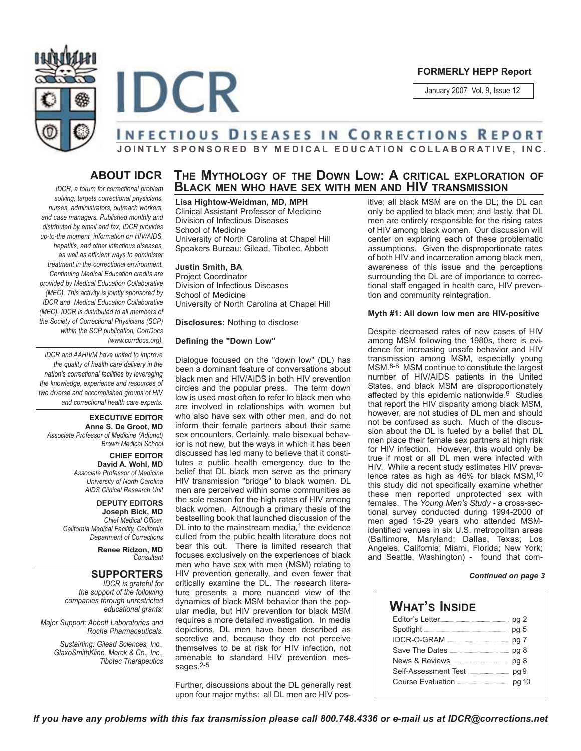



#### **FORMERLY HEPP Report**

January 2007 Vol. 9, Issue 12

# **ABOUT IDCR**

*IDCR, a forum for correctional problem solving, targets correctional physicians, nurses, administrators, outreach workers, and case managers. Published monthly and distributed by email and fax, IDCR provides up-to-the moment information on HIV/AIDS, hepatitis, and other infectious diseases, as well as efficient ways to administer treatment in the correctional environment. Continuing Medical Education credits are provided by Medical Education Collaborative (MEC). This activity is jointly sponsored by IDCR and Medical Education Collaborative (MEC). IDCR is distributed to all members of the Society of Correctional Physicians (SCP) within the SCP publication, CorrDocs (www.corrdocs.org).*

*IDCR and AAHIVM have united to improve the quality of health care delivery in the nation's correctional facilities by leveraging the knowledge, experience and resources of two diverse and accomplished groups of HIV and correctional health care experts.* 

**EXECUTIVE EDITOR Anne S. De Groot, MD** *Associate Professor of Medicine (Adjunct) Brown Medical School*

> **CHIEF EDITOR David A. Wohl, MD** *Associate Professor of Medicine University of North Carolina AIDS Clinical Research Unit*

**DEPUTY EDITORS Joseph Bick, MD** *Chief Medical Officer, California Medical Facility, California Department of Corrections*

> **Renee Ridzon, MD** *Consultant*

### **SUPPORTERS**

*IDCR is grateful for the support of the following companies through unrestricted educational grants:*

*Major Support: Abbott Laboratories and Roche Pharmaceuticals.* 

> *Sustaining: Gilead Sciences, Inc., GlaxoSmithKline, Merck & Co., Inc., Tibotec Therapeutics*

## **THE MYTHOLOGY OF THE DOWN LOW: A CRITICAL EXPLORATION OF BLACK MEN WHO HAVE SEX WITH MEN AND HIV TRANSMISSION**

**JOINTLY SPONSORED BY MEDICAL EDUCATION COLLABORATIVE, INC.**

**Lisa Hightow-Weidman, MD, MPH** 

Clinical Assistant Professor of Medicine Division of Infectious Diseases School of Medicine University of North Carolina at Chapel Hill Speakers Bureau: Gilead, Tibotec, Abbott

#### **Justin Smith, BA**

Project Coordinator Division of Infectious Diseases School of Medicine University of North Carolina at Chapel Hill

**Disclosures:** Nothing to disclose

#### **Defining the "Down Low"**

Dialogue focused on the "down low" (DL) has been a dominant feature of conversations about black men and HIV/AIDS in both HIV prevention circles and the popular press. The term down low is used most often to refer to black men who are involved in relationships with women but who also have sex with other men, and do not inform their female partners about their same sex encounters. Certainly, male bisexual behavior is not new, but the ways in which it has been discussed has led many to believe that it constitutes a public health emergency due to the belief that DL black men serve as the primary HIV transmission "bridge" to black women. DL men are perceived within some communities as the sole reason for the high rates of HIV among black women. Although a primary thesis of the bestselling book that launched discussion of the DL into to the mainstream media, $1$  the evidence culled from the public health literature does not bear this out. There is limited research that focuses exclusively on the experiences of black men who have sex with men (MSM) relating to HIV prevention generally, and even fewer that critically examine the DL. The research literature presents a more nuanced view of the dynamics of black MSM behavior than the popular media, but HIV prevention for black MSM requires a more detailed investigation. In media depictions, DL men have been described as secretive and, because they do not perceive themselves to be at risk for HIV infection, not amenable to standard HIV prevention messages.<sup>2-5</sup>

Further, discussions about the DL generally rest upon four major myths: all DL men are HIV positive; all black MSM are on the DL; the DL can only be applied to black men; and lastly, that DL men are entirely responsible for the rising rates of HIV among black women. Our discussion will center on exploring each of these problematic assumptions. Given the disproportionate rates of both HIV and incarceration among black men, awareness of this issue and the perceptions surrounding the DL are of importance to correctional staff engaged in health care, HIV prevention and community reintegration.

#### **Myth #1: All down low men are HIV-positive**

Despite decreased rates of new cases of HIV among MSM following the 1980s, there is evidence for increasing unsafe behavior and HIV transmission among MSM, especially young MSM.6-8 MSM continue to constitute the largest number of HIV/AIDS patients in the United States, and black MSM are disproportionately affected by this epidemic nationwide.<sup>9</sup> Studies that report the HIV disparity among black MSM, however, are not studies of DL men and should not be confused as such. Much of the discussion about the DL is fueled by a belief that DL men place their female sex partners at high risk for HIV infection. However, this would only be true if most or all DL men were infected with HIV. While a recent study estimates HIV prevalence rates as high as 46% for black MSM,<sup>10</sup> this study did not specifically examine whether these men reported unprotected sex with females. The *Young Men's Study* - a cross-sectional survey conducted during 1994-2000 of men aged 15-29 years who attended MSMidentified venues in six U.S. metropolitan areas (Baltimore, Maryland; Dallas, Texas; Los Angeles, California; Miami, Florida; New York; and Seattle, Washington) - found that com-

#### *Continued on page 3*

## **WHAT'S INSIDE**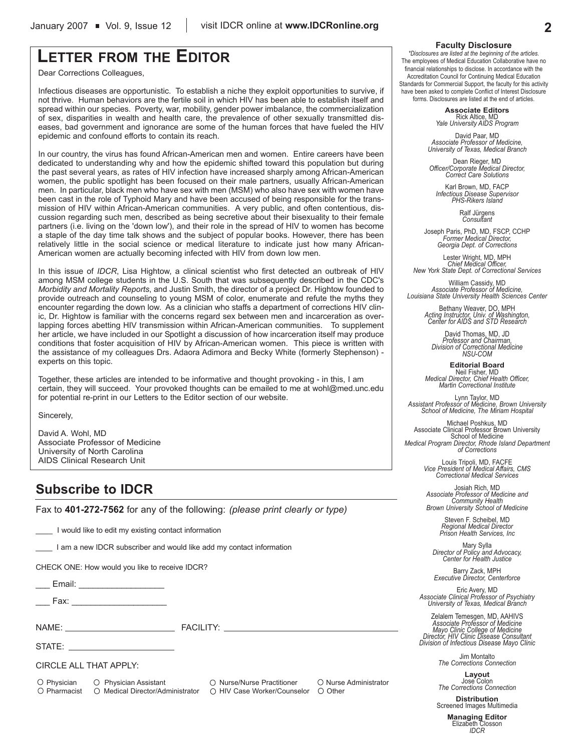## **LETTER FROM THE EDITOR**

Dear Corrections Colleagues,

Infectious diseases are opportunistic. To establish a niche they exploit opportunities to survive, if not thrive. Human behaviors are the fertile soil in which HIV has been able to establish itself and spread within our species. Poverty, war, mobility, gender power imbalance, the commercialization of sex, disparities in wealth and health care, the prevalence of other sexually transmitted diseases, bad government and ignorance are some of the human forces that have fueled the HIV epidemic and confound efforts to contain its reach.

In our country, the virus has found African-American men and women. Entire careers have been dedicated to understanding why and how the epidemic shifted toward this population but during the past several years, as rates of HIV infection have increased sharply among African-American women, the public spotlight has been focused on their male partners, usually African-American men. In particular, black men who have sex with men (MSM) who also have sex with women have been cast in the role of Typhoid Mary and have been accused of being responsible for the transmission of HIV within African-American communities. A very public, and often contentious, discussion regarding such men, described as being secretive about their bisexuality to their female partners (i.e. living on the 'down low'), and their role in the spread of HIV to women has become a staple of the day time talk shows and the subject of popular books. However, there has been relatively little in the social science or medical literature to indicate just how many African-American women are actually becoming infected with HIV from down low men.

In this issue of *IDCR*, Lisa Hightow, a clinical scientist who first detected an outbreak of HIV among MSM college students in the U.S. South that was subsequently described in the CDC's *Morbidity and Mortality Reports*, and Justin Smith, the director of a project Dr. Hightow founded to provide outreach and counseling to young MSM of color, enumerate and refute the myths they encounter regarding the down low. As a clinician who staffs a department of corrections HIV clinic, Dr. Hightow is familiar with the concerns regard sex between men and incarceration as overlapping forces abetting HIV transmission within African-American communities. To supplement her article, we have included in our Spotlight a discussion of how incarceration itself may produce conditions that foster acquisition of HIV by African-American women. This piece is written with the assistance of my colleagues Drs. Adaora Adimora and Becky White (formerly Stephenson) experts on this topic.

Together, these articles are intended to be informative and thought provoking - in this, I am certain, they will succeed. Your provoked thoughts can be emailed to me at wohl@med.unc.edu for potential re-print in our Letters to the Editor section of our website.

Sincerely,

David A. Wohl, MD Associate Professor of Medicine University of North Carolina AIDS Clinical Research Unit

## **Subscribe to IDCR**

Fax to **401-272-7562** for any of the following: *(please print clearly or type)*

I would like to edit my existing contact information

\_\_\_\_ I am a new IDCR subscriber and would like add my contact information

CHECK ONE: How would you like to receive IDCR?

Email: **Email:**  $\blacksquare$ 

\_\_\_ Fax: \_\_\_\_\_\_\_\_\_\_\_\_\_\_\_\_\_\_\_\_

NAME: THE STATE RACILITY:

 $STATE:$ 

CIRCLE ALL THAT APPLY:

O Physician O Physician Assistant O Nurse/Nurse Practitioner O Nurse Administrator  $\bigcirc$  Pharmacist  $\bigcirc$  Medical Director/Administrator  $\bigcirc$  HIV Case Worker/Counselor  $\bigcirc$  Other

#### **Faculty Disclosure**

*\*Disclosures are listed at the beginning of the articles.* The employees of Medical Education Collaborative have no financial relationships to disclose. In accordance with the Accreditation Council for Continuing Medical Education Standards for Commercial Support, the faculty for this activity have been asked to complete Conflict of Interest Disclosure forms. Disclosures are listed at the end of articles.

> **Associate Editors** Rick Altice, MD *Yale University AIDS Program*

David Paar, MD *Associate Professor of Medicine, University of Texas, Medical Branch*

Dean Rieger, MD *Officer/Corporate Medical Director, Correct Care Solutions*

Karl Brown, MD, FACP *Infectious Disease Supervisor PHS-Rikers Island*

Ralf Jürgens *Consultant*

Joseph Paris, PhD, MD, FSCP, CCHP *Former Medical Director, Georgia Dept. of Corrections*

Lester Wright, MD, MPH *Chief Medical Officer, New York State Dept. of Correctional Services*

William Cassidy, MD *Associate Professor of Medicine, Louisiana State University Health Sciences Center*

Bethany Weaver, DO, MPH *Acting Instructor, Univ. of Washington, Center for AIDS and STD Research*

David Thomas, MD, JD *Professor and Chairman, Division of Correctional Medicine NSU-COM*

**Editorial Board** Neil Fisher, MD *Medical Director, Chief Health Officer, Martin Correctional Institute*

Lynn Taylor, MD *Assistant Professor of Medicine, Brown University School of Medicine, The Miriam Hospital*

Michael Poshkus, MD Associate Clinical Professor Brown University School of Medicine *Medical Program Director, Rhode Island Department of Corrections*

> Louis Tripoli, MD, FACFE *Vice President of Medical Affairs, CMS Correctional Medical Services*

Josiah Rich, MD *Associate Professor of Medicine and Community Health Brown University School of Medicine*

Steven F. Scheibel, MD *Regional Medical Director Prison Health Services, Inc*

Mary Sylla *Director of Policy and Advocacy, Center for Health Justice*

Barry Zack, MPH *Executive Director, Centerforce*

Eric Avery, MD *Associate Clinical Professor of Psychiatry University of Texas, Medical Branch*

Zelalem Temesgen, MD, AAHIVS *Associate Professor of Medicine Mayo Clinic College of Medicine Director, HIV Clinic Disease Consultant Division of Infectious Disease Mayo Clinic*

Jim Montalto *The Corrections Connection*

**Layout** Jose Colon *The Corrections Connection*

**Distribution** Screened Images Multimedia

> **Managing Editor** Elizabeth Closson *IDCR*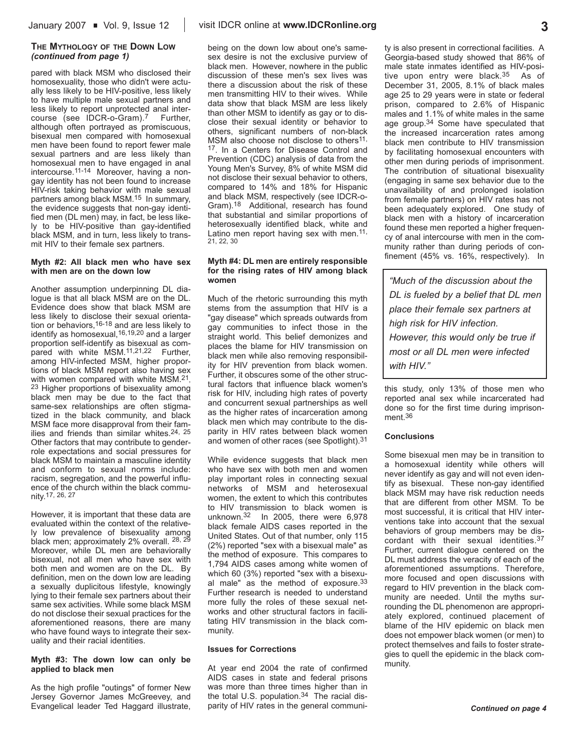#### **THE MYTHOLOGY OF THE DOWN LOW** *(continued from page 1)*

pared with black MSM who disclosed their homosexuality, those who didn't were actually less likely to be HIV-positive, less likely to have multiple male sexual partners and less likely to report unprotected anal intercourse (see IDCR-o-Gram).7 Further, although often portrayed as promiscuous, bisexual men compared with homosexual men have been found to report fewer male sexual partners and are less likely than homosexual men to have engaged in anal intercourse.11-14 Moreover, having a nongay identity has not been found to increase HIV-risk taking behavior with male sexual partners among black MSM.15 In summary, the evidence suggests that non-gay identified men (DL men) may, in fact, be less likely to be HIV-positive than gay-identified black MSM, and in turn, less likely to transmit HIV to their female sex partners.

#### **Myth #2: All black men who have sex with men are on the down low**

Another assumption underpinning DL dialogue is that all black MSM are on the DL. Evidence does show that black MSM are less likely to disclose their sexual orientation or behaviors, <sup>16-18</sup> and are less likely to identify as homosexual,16,19,20 and a larger proportion self-identify as bisexual as compared with white MSM.<sup>11,21,22</sup> Further, among HIV-infected MSM, higher proportions of black MSM report also having sex with women compared with white MSM.<sup>21</sup>, <sup>23</sup> Higher proportions of bisexuality among black men may be due to the fact that same-sex relationships are often stigmatized in the black community, and black MSM face more disapproval from their families and friends than similar whites.24, 25 Other factors that may contribute to genderrole expectations and social pressures for black MSM to maintain a masculine identity and conform to sexual norms include: racism, segregation, and the powerful influence of the church within the black community.17, 26, 27

However, it is important that these data are evaluated within the context of the relatively low prevalence of bisexuality among black men; approximately 2% overall. <sup>28, 29</sup> Moreover, while DL men are behaviorally bisexual, not all men who have sex with both men and women are on the DL. By definition, men on the down low are leading a sexually duplicitous lifestyle, knowingly lying to their female sex partners about their same sex activities. While some black MSM do not disclose their sexual practices for the aforementioned reasons, there are many who have found ways to integrate their sexuality and their racial identities.

#### **Myth #3: The down low can only be applied to black men**

As the high profile "outings" of former New Jersey Governor James McGreevey, and Evangelical leader Ted Haggard illustrate,

being on the down low about one's samesex desire is not the exclusive purview of black men. However, nowhere in the public discussion of these men's sex lives was there a discussion about the risk of these men transmitting HIV to their wives. While data show that black MSM are less likely than other MSM to identify as gay or to disclose their sexual identity or behavior to others, significant numbers of non-black MSM also choose not disclose to others<sup>11,</sup> 17. In a Centers for Disease Control and Prevention (CDC) analysis of data from the Young Men's Survey, 8% of white MSM did not disclose their sexual behavior to others, compared to 14% and 18% for Hispanic and black MSM, respectively (see IDCR-o-Gram).18 Additional, research has found that substantial and similar proportions of heterosexually identified black, white and Latino men report having sex with men.<sup>11,</sup> 21, 22, 30

#### **Myth #4: DL men are entirely responsible for the rising rates of HIV among black women**

Much of the rhetoric surrounding this myth stems from the assumption that HIV is a "gay disease" which spreads outwards from gay communities to infect those in the straight world. This belief demonizes and places the blame for HIV transmission on black men while also removing responsibility for HIV prevention from black women. Further, it obscures some of the other structural factors that influence black women's risk for HIV, including high rates of poverty and concurrent sexual partnerships as well as the higher rates of incarceration among black men which may contribute to the disparity in HIV rates between black women and women of other races (see Spotlight).31

While evidence suggests that black men who have sex with both men and women play important roles in connecting sexual networks of MSM and heterosexual women, the extent to which this contributes to HIV transmission to black women is unknown.32 In 2005, there were 6,978 black female AIDS cases reported in the United States. Out of that number, only 115 (2%) reported "sex with a bisexual male" as the method of exposure. This compares to 1,794 AIDS cases among white women of which 60 (3%) reported "sex with a bisexual male" as the method of exposure.33 Further research is needed to understand more fully the roles of these sexual networks and other structural factors in facilitating HIV transmission in the black community.

#### **Issues for Corrections**

At year end 2004 the rate of confirmed AIDS cases in state and federal prisons was more than three times higher than in the total U.S. population.34 The racial disparity of HIV rates in the general community is also present in correctional facilities. A Georgia-based study showed that 86% of male state inmates identified as HIV-positive upon entry were black.35 As of December 31, 2005, 8.1% of black males age 25 to 29 years were in state or federal prison, compared to 2.6% of Hispanic males and 1.1% of white males in the same age group.<sup>34</sup> Some have speculated that the increased incarceration rates among black men contribute to HIV transmission by facilitating homosexual encounters with other men during periods of imprisonment. The contribution of situational bisexuality (engaging in same sex behavior due to the unavailability of and prolonged isolation from female partners) on HIV rates has not been adequately explored. One study of black men with a history of incarceration found these men reported a higher frequency of anal intercourse with men in the community rather than during periods of confinement (45% vs. 16%, respectively). In

*"Much of the discussion about the DL is fueled by a belief that DL men place their female sex partners at high risk for HIV infection. However, this would only be true if most or all DL men were infected with HIV."*

this study, only 13% of those men who reported anal sex while incarcerated had done so for the first time during imprisonment.36

#### **Conclusions**

Some bisexual men may be in transition to a homosexual identity while others will never identify as gay and will not even identify as bisexual. These non-gay identified black MSM may have risk reduction needs that are different from other MSM. To be most successful, it is critical that HIV interventions take into account that the sexual behaviors of group members may be discordant with their sexual identities.37 Further, current dialogue centered on the DL must address the veracity of each of the aforementioned assumptions. Therefore, more focused and open discussions with regard to HIV prevention in the black community are needed. Until the myths surrounding the DL phenomenon are appropriately explored, continued placement of blame of the HIV epidemic on black men does not empower black women (or men) to protect themselves and fails to foster strategies to quell the epidemic in the black community.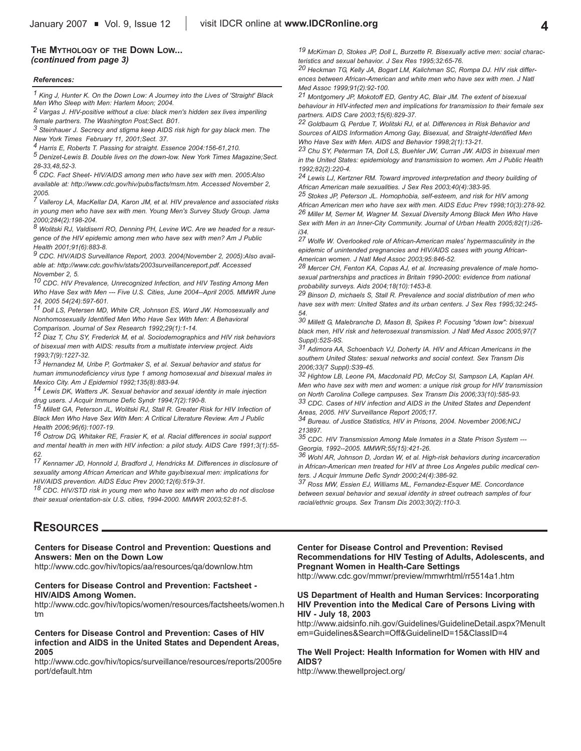#### **THE MYTHOLOGY OF THE DOWN LOW...** *(continued from page 3)*

#### *References:*

*1 King J, Hunter K. On the Down Low: A Journey into the Lives of 'Straight' Black Men Who Sleep with Men: Harlem Moon; 2004.*

*2 Vargas J. HIV-positive without a clue: black men's hidden sex lives imperiling female partners. The Washington Post;Sect. B01.*

*3 Steinhauer J. Secrecy and stigma keep AIDS risk high for gay black men. The New York Times February 11, 2001;Sect. 37.*

*4 Harris E, Roberts T. Passing for straight. Essence 2004:156-61,210.*

*5 Denizet-Lewis B. Double lives on the down-low. New York Times Magazine;Sect. 28-33,48,52-3.*

*6 CDC. Fact Sheet- HIV/AIDS among men who have sex with men. 2005:Also available at: http://www.cdc.gov/hiv/pubs/facts/msm.htm. Accessed November 2, 2005.*

*7 Valleroy LA, MacKellar DA, Karon JM, et al. HIV prevalence and associated risks in young men who have sex with men. Young Men's Survey Study Group. Jama 2000;284(2):198-204.*

*8 Wolitski RJ, Valdiserri RO, Denning PH, Levine WC. Are we headed for a resurgence of the HIV epidemic among men who have sex with men? Am J Public Health 2001;91(6):883-8.*

*9 CDC. HIV/AIDS Surveillance Report, 2003. 2004(November 2, 2005):Also available at: http://www.cdc.gov/hiv/stats/2003surveillancereport.pdf. Accessed November 2, 5.*

*10 CDC. HIV Prevalence, Unrecognized Infection, and HIV Testing Among Men Who Have Sex with Men --- Five U.S. Cities, June 2004--April 2005. MMWR June 24, 2005 54(24):597-601.*

*11 Doll LS, Petersen MD, White CR, Johnson ES, Ward JW. Homosexually and Nonhomosexually Identified Men Who Have Sex With Men: A Behavioral Comparison. Journal of Sex Research 1992;29(1):1-14.*

*12 Diaz T, Chu SY, Frederick M, et al. Sociodemographics and HIV risk behaviors of bisexual men with AIDS: results from a multistate interview project. Aids 1993;7(9):1227-32.*

*13 Hernandez M, Uribe P, Gortmaker S, et al. Sexual behavior and status for human immunodeficiency virus type 1 among homosexual and bisexual males in Mexico City. Am J Epidemiol 1992;135(8):883-94.*

*14 Lewis DK, Watters JK. Sexual behavior and sexual identity in male injection drug users. J Acquir Immune Defic Syndr 1994;7(2):190-8.*

*15 Millett GA, Peterson JL, Wolitski RJ, Stall R. Greater Risk for HIV Infection of Black Men Who Have Sex With Men: A Critical Literature Review. Am J Public Health 2006;96(6):1007-19.*

*16 Ostrow DG, Whitaker RE, Frasier K, et al. Racial differences in social support and mental health in men with HIV infection: a pilot study. AIDS Care 1991;3(1):55- 62.*

*17 Kennamer JD, Honnold J, Bradford J, Hendricks M. Differences in disclosure of sexuality among African American and White gay/bisexual men: implications for HIV/AIDS prevention. AIDS Educ Prev 2000;12(6):519-31.*

*18 CDC. HIV/STD risk in young men who have sex with men who do not disclose their sexual orientation-six U.S. cities, 1994-2000. MMWR 2003;52:81-5.*

*19 McKirnan D, Stokes JP, Doll L, Burzette R. Bisexually active men: social characteristics and sexual behavior. J Sex Res 1995;32:65-76.*

*20 Heckman TG, Kelly JA, Bogart LM, Kalichman SC, Rompa DJ. HIV risk differences between African-American and white men who have sex with men. J Natl Med Assoc 1999;91(2):92-100.*

*21 Montgomery JP, Mokotoff ED, Gentry AC, Blair JM. The extent of bisexual behaviour in HIV-infected men and implications for transmission to their female sex partners. AIDS Care 2003;15(6):829-37.*

*22 Goldbaum G, Perdue T, Wolitski RJ, et al. Differences in Risk Behavior and Sources of AIDS Information Among Gay, Bisexual, and Straight-Identified Men Who Have Sex with Men. AIDS and Behavior 1998;2(1):13-21.*

*23 Chu SY, Peterman TA, Doll LS, Buehler JW, Curran JW. AIDS in bisexual men in the United States: epidemiology and transmission to women. Am J Public Health 1992;82(2):220-4.*

*24 Lewis LJ, Kertzner RM. Toward improved interpretation and theory building of African American male sexualities. J Sex Res 2003;40(4):383-95.*

*25 Stokes JP, Peterson JL. Homophobia, self-esteem, and risk for HIV among African American men who have sex with men. AIDS Educ Prev 1998;10(3):278-92. 26 Miller M, Serner M, Wagner M. Sexual Diversity Among Black Men Who Have Sex with Men in an Inner-City Community. Journal of Urban Health 2005;82(1):i26-*

*i34. 27 Wolfe W. Overlooked role of African-American males' hypermasculinity in the epidemic of unintended pregnancies and HIV/AIDS cases with young African-*

*American women. J Natl Med Assoc 2003;95:846-52. 28 Mercer CH, Fenton KA, Copas AJ, et al. Increasing prevalence of male homosexual partnerships and practices in Britain 1990-2000: evidence from national*

*probability surveys. Aids 2004;18(10):1453-8. 29 Binson D, michaels S, Stall R. Prevalence and social distribution of men who have sex with men: United States and its urban centers. J Sex Res 1995;32:245-*

*54. 30 Millett G, Malebranche D, Mason B, Spikes P. Focusing "down low": bisexual black men, HIV risk and heterosexual transmission. J Natl Med Assoc 2005;97(7 Suppl):52S-9S.*

*31 Adimora AA, Schoenbach VJ, Doherty IA. HIV and African Americans in the southern United States: sexual networks and social context. Sex Transm Dis 2006;33(7 Suppl):S39-45.*

*32 Hightow LB, Leone PA, Macdonald PD, McCoy SI, Sampson LA, Kaplan AH. Men who have sex with men and women: a unique risk group for HIV transmission*

*on North Carolina College campuses. Sex Transm Dis 2006;33(10):585-93. 33 CDC. Cases of HIV infection and AIDS in the United States and Dependent Areas, 2005. HIV Surveillance Report 2005;17.*

*34 Bureau. of Justice Statistics, HIV in Prisons, 2004. November 2006;NCJ 213897.*

*35 CDC. HIV Transmission Among Male Inmates in a State Prison System --- Georgia, 1992--2005. MMWR;55(15):421-26.*

*36 Wohl AR, Johnson D, Jordan W, et al. High-risk behaviors during incarceration in African-American men treated for HIV at three Los Angeles public medical centers. J Acquir Immune Defic Syndr 2000;24(4):386-92.*

*37 Ross MW, Essien EJ, Williams ML, Fernandez-Esquer ME. Concordance between sexual behavior and sexual identity in street outreach samples of four racial/ethnic groups. Sex Transm Dis 2003;30(2):110-3.*

## **RESOURCES**

#### **Centers for Disease Control and Prevention: Questions and Answers: Men on the Down Low**

http://www.cdc.gov/hiv/topics/aa/resources/qa/downlow.htm

#### **Centers for Disease Control and Prevention: Factsheet - HIV/AIDS Among Women.**

http://www.cdc.gov/hiv/topics/women/resources/factsheets/women.h tm

#### **Centers for Disease Control and Prevention: Cases of HIV infection and AIDS in the United States and Dependent Areas, 2005**

http://www.cdc.gov/hiv/topics/surveillance/resources/reports/2005re port/default.htm

**Center for Disease Control and Prevention: Revised Recommendations for HIV Testing of Adults, Adolescents, and Pregnant Women in Health-Care Settings**

http://www.cdc.gov/mmwr/preview/mmwrhtml/rr5514a1.htm

#### **US Department of Health and Human Services: Incorporating HIV Prevention into the Medical Care of Persons Living with HIV - July 18, 2003**

http://www.aidsinfo.nih.gov/Guidelines/GuidelineDetail.aspx?MenuIt em=Guidelines&Search=Off&GuidelineID=15&ClassID=4

#### **The Well Project: Health Information for Women with HIV and AIDS?**

http://www.thewellproject.org/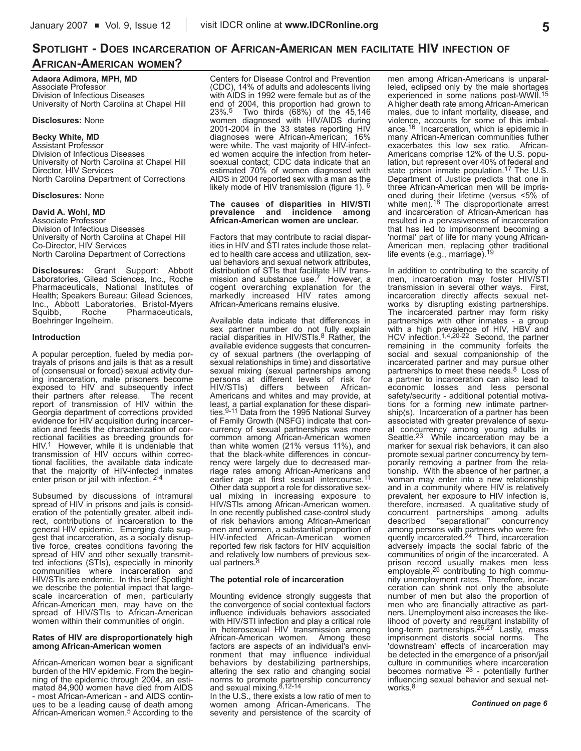## **SPOTLIGHT - DOES INCARCERATION OF AFRICAN-AMERICAN MEN FACILITATE HIV INFECTION OF AFRICAN-AMERICAN WOMEN?**

**Adaora Adimora, MPH, MD** Associate Professor Division of Infectious Diseases University of North Carolina at Chapel Hill

#### **Disclosures:** None

#### **Becky White, MD**

Assistant Professor Division of Infectious Diseases University of North Carolina at Chapel Hill Director, HIV Services North Carolina Department of Corrections

#### **Disclosures:** None

## **David A. Wohl, MD**

Associate Professor Division of Infectious Diseases University of North Carolina at Chapel Hill Co-Director, HIV Services North Carolina Department of Corrections

**Disclosures:** Grant Support: Abbott Laboratories, Gilead Sciences, Inc., Roche Pharmaceuticals, National Institutes of Health; Speakers Bureau: Gilead Sciences, Inc., Abbott Laboratories, Bristol-Myers Pharmaceuticals, Boehringer Ingelheim.

#### **Introduction**

A popular perception, fueled by media portrayals of prisons and jails is that as a result of (consensual or forced) sexual activity during incarceration, male prisoners become exposed to HIV and subsequently infect their partners after release. The recent report of transmission of HIV within the Georgia department of corrections provided evidence for HIV acquisition during incarceration and feeds the characterization of correctional facilities as breeding grounds for HIV.<sup>1</sup> However, while it is undeniable that transmission of HIV occurs within correctional facilities, the available data indicate that the majority of HIV-infected inmates enter prison or jail with infection. 2-4

Subsumed by discussions of intramural spread of HIV in prisons and jails is consideration of the potentially greater, albeit indirect, contributions of incarceration to the general HIV epidemic. Emerging data suggest that incarceration, as a socially disruptive force, creates conditions favoring the spread of HIV and other sexually transmitted infections (STIs), especially in minority communities where incarceration and HIV/STIs are endemic. In this brief Spotlight we describe the potential impact that largescale incarceration of men, particularly African-American men, may have on the spread of HIV/STIs to African-American women within their communities of origin.

#### **Rates of HIV are disproportionately high among African-American women**

African-American women bear a significant burden of the HIV epidemic. From the beginning of the epidemic through 2004, an estimated 84,900 women have died from AIDS - most African-American - and AIDS continues to be a leading cause of death among African-American women.5 According to the

Centers for Disease Control and Prevention (CDC), 14% of adults and adolescents living with AIDS in 1992 were female but as of the end of 2004, this proportion had grown to 23%.5 Two thirds (68%) of the 45,146 women diagnosed with HIV/AIDS during 2001-2004 in the 33 states reporting HIV diagnoses were African-American; 16% were white. The vast majority of HIV-infected women acquire the infection from hetersoexual contact; CDC data indicate that an estimated 70% of women diagnosed with AIDS in 2004 reported sex with a man as the likely mode of HIV transmission (figure 1). 6

#### **The causes of disparities in HIV/STI prevalence and incidence among African-American women are unclear.**

Factors that may contribute to racial disparities in HIV and STI rates include those related to health care access and utilization, sexual behaviors and sexual network attributes, distribution of STIs that facilitate HIV transmission and substance use.<sup>7</sup> However, a cogent overarching explanation for the markedly increased HIV rates among African-Americans remains elusive.

Available data indicate that differences in sex partner number do not fully explain<br>racial disparities in HIV/STIs.<sup>8</sup> Rather, the available evidence suggests that concurrency of sexual partners (the overlapping of sexual relationships in time) and dissortative sexual mixing (sexual partnerships among persons at different levels of risk for HIV/STIs) differs between African-Americans and whites and may provide, at least, a partial explanation for these dispari-ties.9-11 Data from the 1995 National Survey of Family Growth (NSFG) indicate that concurrency of sexual partnerships was more common among African-American women than white women (21% versus 11%), and that the black-white differences in concurrency were largely due to decreased marriage rates among African-Americans and earlier age at first sexual intercourse.11 Other data support a role for dissorative sexual mixing in increasing exposure to HIV/STIs among African-American women. In one recently published case-control study of risk behaviors among African-American men and women, a substantial proportion of HIV-infected African-American women reported few risk factors for HIV acquisition and relatively low numbers of previous sexual partners.<sup>8</sup>

#### **The potential role of incarceration**

Mounting evidence strongly suggests that the convergence of social contextual factors influence individuals behaviors associated with HIV/STI infection and play a critical role in heterosexual HIV transmission among African-American women. Among these factors are aspects of an individual's environment that may influence individual behaviors by destabilizing partnerships, altering the sex ratio and changing social norms to promote partnership concurrency<br>and sexual mixing.<sup>8,12-14</sup>

In the U.S., there exists a low ratio of men to women among African-Americans. The severity and persistence of the scarcity of

men among African-Americans is unparalleled, eclipsed only by the male shortages experienced in some nations post-WWII.15 A higher death rate among African-American males, due to infant mortality, disease, and violence, accounts for some of this imbalance.<sup>16</sup> Incarceration, which is epidemic in many African-American communities futher exacerbates this low sex ratio. African-Americans comprise 12% of the U.S. population, but represent over 40% of federal and state prison inmate population.17 The U.S. Department of Justice predicts that one in three African-American men will be imprisoned during their lifetime (versus <5% of white men).18 The disproportionate arrest and incarceration of African-American has resulted in a pervasiveness of incarceration that has led to imprisonment becoming a 'normal' part of life for many young African-American men, replacing other traditional<br>life events (e.g., marriage).<sup>19</sup>

In addition to contributing to the scarcity of men, incarceration may foster HIV/STI transmission in several other ways. First, incarceration directly affects sexual networks by disrupting existing partnerships. The incarcerated partner may form risky partnerships with other inmates - a group with a high prevalence of HIV, HBV and HCV infection.1,4,20-22 Second, the partner remaining in the community forfeits the social and sexual companionship of the incarcerated partner and may pursue other partnerships to meet these needs.8 Loss of a partner to incarceration can also lead to economic losses and less personal safety/security - additional potential motivations for a forming new intimate partnership(s). Incarceration of a partner has been associated with greater prevalence of sexual concurrency among young adults in Seattle.23 While incarceration may be a marker for sexual risk behaviors, it can also promote sexual partner concurrency by temporarily removing a partner from the relationship. With the absence of her partner, a woman may enter into a new relationship and in a community where HIV is relatively prevalent, her exposure to HIV infection is, therefore, increased. A qualitative study of concurrent partnerships among adults<br>described "separational" concurrency "separational" among persons with partners who were fre-<br>quently incarcerated.<sup>24</sup> Third, incarceration adversely impacts the social fabric of the communities of origin of the incarcerated. A prison record usually makes men less employable,<sup>25</sup> contributing to high community unemployment rates. Therefore, incarceration can shrink not only the absolute number of men but also the proportion of men who are financially attractive as partners. Unemployment also increases the likelihood of poverty and resultant instability of long-term partnerships.<sup>26,27</sup> Lastly, mass imprisonment distorts social norms. The 'downstream' effects of incarceration may be detected in the emergence of a prison/jail culture in communities where incarceration becomes normative  $28$  - potentially further influencing sexual behavior and sexual networks.8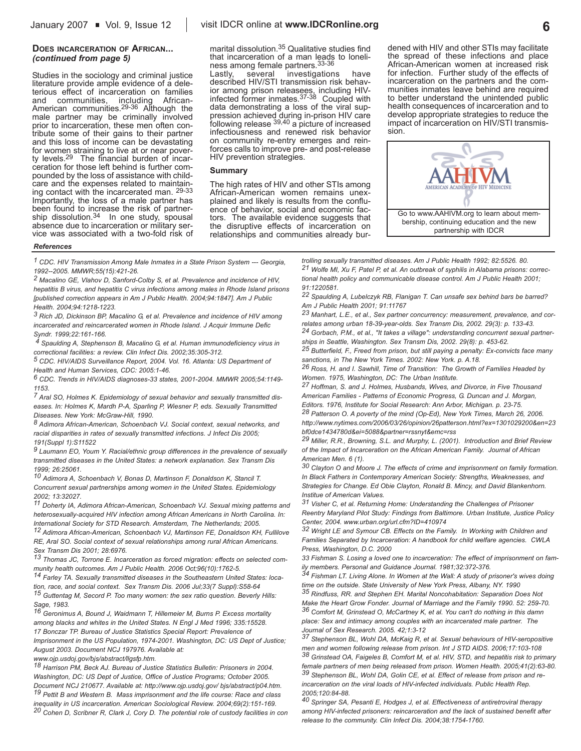Studies in the sociology and criminal justice literature provide ample evidence of a deleterious effect of incarceration on families and communities, including African-American communities.29-36 Although the male partner may be criminally involved prior to incarceration, these men often contribute some of their gains to their partner and this loss of income can be devastating for women straining to live at or near poverty levels.29 The financial burden of incarceration for those left behind is further compounded by the loss of assistance with childcare and the expenses related to maintaining contact with the incarcerated man. 29-33 Importantly, the loss of a male partner has been found to increase the risk of partner-<br>ship dissolution.<sup>34</sup> In one study, spousal absence due to incarceration or military service was associated with a two-fold risk of marital dissolution.35 Qualitative studies find that incarceration of a man leads to loneliness among female partners.33-36

Lastly, several investigations have described HIV/STI transmission risk behavior among prison releasees, including HIV-<br>infected former inmates.<sup>37-38</sup> Coupled with data demonstrating a loss of the viral suppression achieved during in-prison HIV care following release 39,40 a picture of increased infectiousness and renewed risk behavior on community re-entry emerges and reinforces calls to improve pre- and post-release HIV prevention strategies.

#### **Summary**

The high rates of HIV and other STIs among African-American women remains unexplained and likely is results from the confluence of behavior, social and economic factors. The available evidence suggests that the disruptive effects of incarceration on relationships and communities already burdened with HIV and other STIs may facilitate the spread of these infections and place African-American women at increased risk for infection. Further study of the effects of incarceration on the partners and the communities inmates leave behind are required to better understand the unintended public health consequences of incarceration and to develop appropriate strategies to reduce the impact of incarceration on HIV/STI transmission.



#### *References*

*1 CDC. HIV Transmission Among Male Inmates in a State Prison System --- Georgia, 1992--2005. MMWR;55(15):421-26.*

*2 Macalino GE, Vlahov D, Sanford-Colby S, et al. Prevalence and incidence of HIV, hepatitis B virus, and hepatitis C virus infections among males in Rhode Island prisons [published correction appears in Am J Public Health. 2004;94:1847]. Am J Public Health. 2004;94:1218-1223.*

*3 Rich JD, Dickinson BP, Macalino G, et al. Prevalence and incidence of HIV among incarcerated and reincarcerated women in Rhode Island. J Acquir Immune Defic Syndr. 1999;22:161-166.*

*4 Spaulding A, Stephenson B, Macalino G, et al. Human immunodeficiency virus in correctional facilities: a review. Clin Infect Dis. 2002;35:305-312.*

*5 CDC. HIV/AIDS Surveillance Report, 2004. Vol. 16. Atlanta: US Department of Health and Human Services, CDC: 2005:1-46.*

*6 CDC. Trends in HIV/AIDS diagnoses-33 states, 2001-2004. MMWR 2005;54:1149- 1153.*

*7 Aral SO, Holmes K. Epidemiology of sexual behavior and sexually transmitted diseases. In: Holmes K, Mardh P-A, Sparling P, Wiesner P, eds. Sexually Transmitted Diseases. New York: McGraw-Hill, 1990.*

*8 Adimora African-American, Schoenbach VJ. Social context, sexual networks, and racial disparities in rates of sexually transmitted infections. J Infect Dis 2005; 191(Suppl 1):S11522*

*9 Laumann EO, Youm Y. Racial/ethnic group differences in the prevalence of sexually transmitted diseases in the United States: a network explanation. Sex Transm Dis 1999; 26:25061.*

*10 Adimora A, Schoenbach V, Bonas D, Martinson F, Donaldson K, Stancil T. Concurrent sexual partnerships among women in the United States. Epidemiology 2002; 13:32027.*

*11 Doherty IA, Adimora African-American, Schoenbach VJ. Sexual mixing patterns and heterosexually-acquired HIV infection among African Americans in North Carolina. In: International Society for STD Research. Amsterdam, The Netherlands; 2005. 12 Adimora African-American, Schoenbach VJ, Martinson FE, Donaldson KH, Fullilove RE, Aral SO. Social context of sexual relationships among rural African Americans. Sex Transm Dis 2001; 28:6976.*

*13 Thomas JC, Torrone E. Incarceration as forced migration: effects on selected community health outcomes. Am J Public Health. 2006 Oct;96(10):1762-5.*

*14 Farley TA. Sexually transmitted diseases in the Southeastern United States: location, race, and social context. Sex Transm Dis. 2006 Jul;33(7 Suppl):S58-64 15 Guttentag M, Secord P. Too many women: the sex ratio question. Beverly Hills: Sage, 1983.*

*16 Geronimus A, Bound J, Waidmann T, Hillemeier M, Burns P. Excess mortality among blacks and whites in the United States. N Engl J Med 1996; 335:15528. 17 Bonczar TP. Bureau of Justice Statistics Special Report: Prevalence of Imprisonment in the US Population, 1974-2001. Washington, DC: US Dept of Justice; August 2003. Document NCJ 197976. Available at:*

*www.ojp.usdoj.gov/bjs/abstract/llgsfp.htm.*

*18 Harrison PM, Beck AJ. Bureau of Justice Statistics Bulletin: Prisoners in 2004. Washington, DC: US Dept of Justice, Office of Justice Programs; October 2005. Document NCJ 210677. Available at: http://www.ojp.usdoj.gov/ bjs/abstract/p04.htm. 19 Pettit B and Western B. Mass imprisonment and the life course: Race and class inequality in US incarceration. American Sociological Review. 2004;69(2):151-169. 20 Cohen D, Scribner R, Clark J, Cory D. The potential role of custody facilities in con*

*trolling sexually transmitted diseases. Am J Public Health 1992; 82:5526. 80. 21 Wolfe MI, Xu F, Patel P, et al. An outbreak of syphilis in Alabama prisons: correctional health policy and communicable disease control. Am J Public Health 2001; 91:1220581.* 

*22 Spaulding A, Lubelczyk RB, Flanigan T. Can unsafe sex behind bars be barred? Am J Public Health 2001; 91:11767*

*23 Manhart, L.E., et al., Sex partner concurrency: measurement, prevalence, and correlates among urban 18-39-year-olds. Sex Transm Dis, 2002. 29(3): p. 133-43. 24 Gorbach, P.M., et al., "It takes a village": understanding concurrent sexual partner-*

*ships in Seattle, Washington. Sex Transm Dis, 2002. 29(8): p. 453-62.*

*25 Butterfield, F., Freed from prison, but still paying a penalty: Ex-convicts face many sanctions, in The New York Times. 2002: New York. p. A.18.*

*26 Ross, H. and I. Sawhill, Time of Transition: The Growth of Families Headed by Women. 1975, Washington, DC: The Urban Institute.*

*27 Hoffman, S. and J. Holmes, Husbands, Wives, and Divorce, in Five Thousand American Families - Patterns of Economic Progress, G. Duncan and J. Morgan, Editors. 1976, Institute for Social Research: Ann Arbor, Michigan. p. 23-75.*

*28 Patterson O. A poverty of the mind (Op-Ed), New York Times, March 26, 2006. http://www.nytimes.com/2006/03/26/opinion/26patterson.html?ex=1301029200&en=23*

*bf0dce1434780d&ei=5088&partner=rssnyt&emc=rss 29 Miller, R.R., Browning, S.L. and Murphy, L. (2001). Introduction and Brief Review of the Impact of Incarceration on the African American Family. Journal of African*

*American Men. 6 (1). 30 Clayton O and Moore J. The effects of crime and imprisonment on family formation. In Black Fathers in Contemporary American Society: Strengths, Weaknesses, and Strategies for Change. Ed Obie Clayton, Ronald B. Mincy, and David Blankenhorn. Institue of American Values.*

*31 Visher C, et al. Returning Home: Understanding the Challenges of Prisoner Reentry Maryland Pilot Study: Findings from Baltimore. Urban Institute, Justice Policy Center, 2004. www.urban.org/url.cfm?ID=410974*

*32 Wright LE and Symour CB. Effects on the Family. In Working with Children and Families Separated by Incarceration: A handbook for child welfare agencies. CWLA Press, Washington, D.C. 2000*

*33 Fishman S. Losing a loved one to incarceration: The effect of imprisonment on fam-*

*ily members. Personal and Guidance Journal. 1981;32:372-376. 34 Fishman LT. Living Alone. In Women at the Wall: A study of prisoner's wives doing time on the outside. State University of New York Press, Albany, NY. 1990*

*35 Rindfuss, RR. and Stephen EH. Marital Noncohabitation: Separation Does Not Make the Heart Grow Fonder. Journal of Marriage and the Family 1990. 52: 259-70. 36 Comfort M, Grinstead O, McCartney K, et al. You can't do nothing in this damn place: Sex and intimacy among couples with an incarcerated male partner. The Journal of Sex Research. 2005. 42;1:3-12*

*37 Stephenson BL, Wohl DA, McKaig R, et al. Sexual behaviours of HIV-seropositive men and women following release from prison. Int J STD AIDS. 2006;17:103-108 38 Grinstead OA, Faigeles B, Comfort M, et al. HIV, STD, and hepatitis risk to primary female partners of men being released from prison. Women Health. 2005;41(2):63-80. 39 Stephenson BL, Wohl DA, Golin CE, et al. Effect of release from prison and reincarceration on the viral loads of HIV-infected individuals. Public Health Rep. 2005;120:84-88.*

*40 Springer SA, Pesanti E, Hodges J, et al. Effectiveness of antiretroviral therapy among HIV-infected prisoners: reincarceration and the lack of sustained benefit after release to the community. Clin Infect Dis. 2004;38:1754-1760.*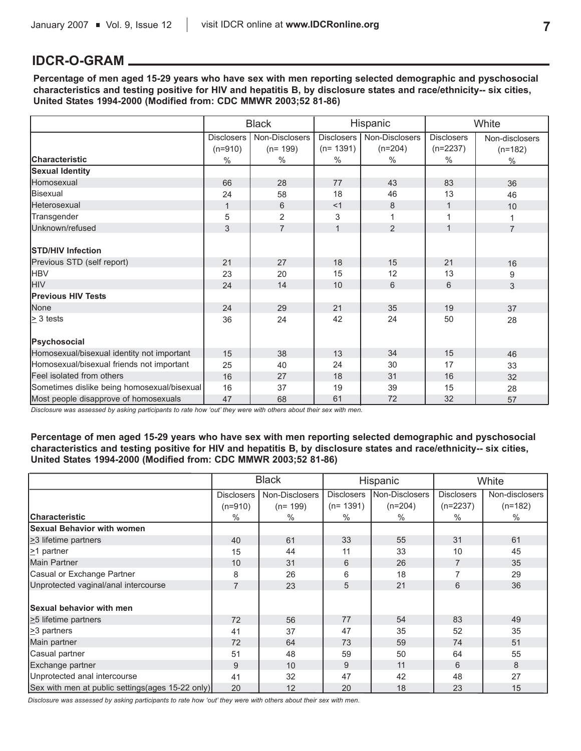## **IDCR-O-GRAM**

**Percentage of men aged 15-29 years who have sex with men reporting selected demographic and pyschosocial characteristics and testing positive for HIV and hepatitis B, by disclosure states and race/ethnicity-- six cities, United States 1994-2000 (Modified from: CDC MMWR 2003;52 81-86)**

|                                             |                   | <b>Black</b>   | Hispanic          |                | White             |                |
|---------------------------------------------|-------------------|----------------|-------------------|----------------|-------------------|----------------|
|                                             | <b>Disclosers</b> | Non-Disclosers | <b>Disclosers</b> | Non-Disclosers | <b>Disclosers</b> | Non-disclosers |
|                                             | $(n=910)$         | $(n=199)$      | $(n=1391)$        | $(n=204)$      | $(n=2237)$        | $(n=182)$      |
| <b>Characteristic</b>                       | $\%$              | $\%$           | $\%$              | $\%$           | $\%$              | $\%$           |
| <b>Sexual Identity</b>                      |                   |                |                   |                |                   |                |
| Homosexual                                  | 66                | 28             | 77                | 43             | 83                | 36             |
| Bisexual                                    | 24                | 58             | 18                | 46             | 13                | 46             |
| Heterosexual                                | $\mathbf{1}$      | 6              | <1                | 8              | $\mathbf{1}$      | 10             |
| Transgender                                 | 5                 | $\overline{2}$ | 3                 | 1              | 1                 | 1              |
| Unknown/refused                             | 3                 | $\overline{7}$ | $\mathbf{1}$      | $\overline{2}$ | $\mathbf{1}$      | $\overline{7}$ |
| <b>STD/HIV Infection</b>                    |                   |                |                   |                |                   |                |
| Previous STD (self report)                  | 21                | 27             | 18                | 15             | 21                | 16             |
| <b>HBV</b>                                  | 23                | 20             | 15                | 12             | 13                | 9              |
| <b>HIV</b>                                  | 24                | 14             | 10                | 6              | 6                 | 3              |
| <b>Previous HIV Tests</b>                   |                   |                |                   |                |                   |                |
| None                                        | 24                | 29             | 21                | 35             | 19                | 37             |
| $\geq$ 3 tests                              | 36                | 24             | 42                | 24             | 50                | 28             |
| Psychosocial                                |                   |                |                   |                |                   |                |
| Homosexual/bisexual identity not important  | 15                | 38             | 13                | 34             | 15                | 46             |
| Homosexual/bisexual friends not important   | 25                | 40             | 24                | 30             | 17                | 33             |
| Feel isolated from others                   | 16                | 27             | 18                | 31             | 16                | 32             |
| Sometimes dislike being homosexual/bisexual | 16                | 37             | 19                | 39             | 15                | 28             |
| Most people disapprove of homosexuals       | 47                | 68             | 61                | 72             | 32                | 57             |

*Disclosure was assessed by asking participants to rate how 'out' they were with others about their sex with men.*

**Percentage of men aged 15-29 years who have sex with men reporting selected demographic and pyschosocial characteristics and testing positive for HIV and hepatitis B, by disclosure states and race/ethnicity-- six cities, United States 1994-2000 (Modified from: CDC MMWR 2003;52 81-86)**

|                                                   |                   | <b>Black</b>   | Hispanic                            |           | White             |                |
|---------------------------------------------------|-------------------|----------------|-------------------------------------|-----------|-------------------|----------------|
|                                                   | <b>Disclosers</b> | Non-Disclosers | Non-Disclosers<br><b>Disclosers</b> |           | <b>Disclosers</b> | Non-disclosers |
|                                                   | $(n=910)$         | $(n=199)$      | $(n=1391)$                          | $(n=204)$ | $(n=2237)$        | $(n=182)$      |
| <b>Characteristic</b>                             | $\%$              | %              | $\%$                                | $\%$      | $\%$              | $\%$           |
| <b>Sexual Behavior with women</b>                 |                   |                |                                     |           |                   |                |
| $\geq$ 3 lifetime partners                        | 40                | 61             | 33                                  | 55        | 31                | 61             |
| $\geq$ 1 partner                                  | 15                | 44             | 11                                  | 33        | 10                | 45             |
| Main Partner                                      | 10                | 31             | 6                                   | 26        | $\overline{7}$    | 35             |
| Casual or Exchange Partner                        | 8                 | 26             | 6                                   | 18        | $\overline{7}$    | 29             |
| Unprotected vaginal/anal intercourse              | $\overline{7}$    | 23             | 5                                   | 21        | 6                 | 36             |
|                                                   |                   |                |                                     |           |                   |                |
| <b>Sexual behavior with men</b>                   |                   |                |                                     |           |                   |                |
| $\geq$ 5 lifetime partners                        | 72                | 56             | 77                                  | 54        | 83                | 49             |
| $\geq$ partners                                   | 41                | 37             | 47                                  | 35        | 52                | 35             |
| Main partner                                      | 72                | 64             | 73                                  | 59        | 74                | 51             |
| Casual partner                                    | 51                | 48             | 59                                  | 50        | 64                | 55             |
| Exchange partner                                  | 9                 | 10             | 9                                   | 11        | 6                 | 8              |
| Unprotected anal intercourse                      | 41                | 32             | 47                                  | 42        | 48                | 27             |
| Sex with men at public settings (ages 15-22 only) | 20                | 12             | 20                                  | 18        | 23                | 15             |

*Disclosure was assessed by asking participants to rate how 'out' they were with others about their sex with men.*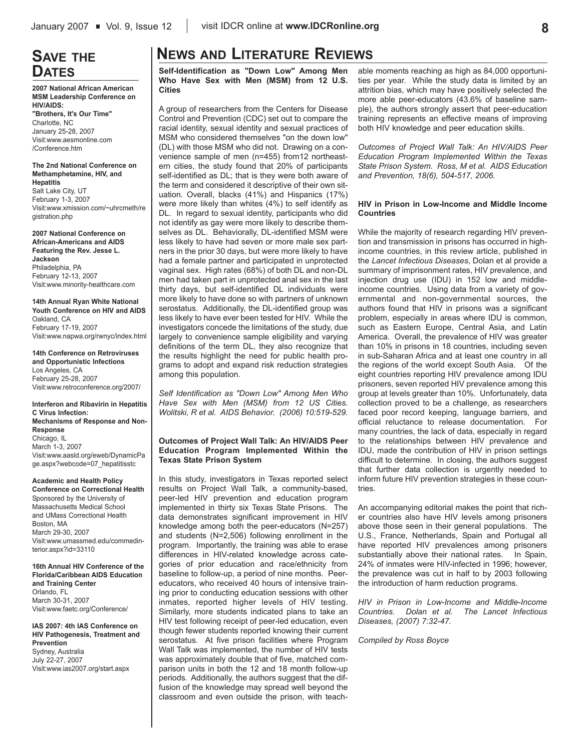## **SAVE THE DATES**

**2007 National African American MSM Leadership Conference on HIV/AIDS:** 

**"Brothers, It's Our Time"** Charlotte, NC January 25-28, 2007 Visit:www.aesmonline.com /Conference.htm

#### **The 2nd National Conference on Methamphetamine, HIV, and Hepatitis**

Salt Lake City, UT February 1-3, 2007 Visit:www.xmission.com/~uhrcmeth/re gistration.php

**2007 National Conference on African-Americans and AIDS Featuring the Rev. Jesse L. Jackson** Philadelphia, PA February 12-13, 2007 Visit:www.minority-healthcare.com

**14th Annual Ryan White National Youth Conference on HIV and AIDS** Oakland, CA February 17-19, 2007 Visit:www.napwa.org/rwnyc/index.html

**14th Conference on Retroviruses and Opportunistic Infections** Los Angeles, CA February 25-28, 2007 Visit:www.retroconference.org/2007/

#### **Interferon and Ribavirin in Hepatitis C Virus Infection: Mechanisms of Response and Non-Response** Chicago, IL March 1-3, 2007 Visit:www.aasld.org/eweb/DynamicPa ge.aspx?webcode=07\_hepatitisstc

#### **Academic and Health Policy**

**Conference on Correctional Health** Sponsored by the University of Massachusetts Medical School and UMass Correctional Health Boston, MA March 29-30, 2007 Visit:www.umassmed.edu/commedinterior.aspx?id=33110

**16th Annual HIV Conference of the Florida/Caribbean AIDS Education and Training Center** Orlando, FL March 30-31, 2007 Visit:www.faetc.org/Conference/

**IAS 2007: 4th IAS Conference on HIV Pathogenesis, Treatment and Prevention** Sydney, Australia July 22-27, 2007 Visit:www.ias2007.org/start.aspx

## **NEWS AND LITERATURE REVIEWS**

**Self-Identification as "Down Low" Among Men Who Have Sex with Men (MSM) from 12 U.S. Cities**

A group of researchers from the Centers for Disease Control and Prevention (CDC) set out to compare the racial identity, sexual identity and sexual practices of MSM who considered themselves "on the down low" (DL) with those MSM who did not. Drawing on a convenience sample of men (n=455) from12 northeastern cities, the study found that 20% of participants self-identified as DL; that is they were both aware of the term and considered it descriptive of their own situation. Overall, blacks (41%) and Hispanics (17%) were more likely than whites (4%) to self identify as DL. In regard to sexual identity, participants who did not identify as gay were more likely to describe themselves as DL. Behaviorally, DL-identified MSM were less likely to have had seven or more male sex partners in the prior 30 days, but were more likely to have had a female partner and participated in unprotected vaginal sex. High rates (68%) of both DL and non-DL men had taken part in unprotected anal sex in the last thirty days, but self-identified DL individuals were more likely to have done so with partners of unknown serostatus. Additionally, the DL-identified group was less likely to have ever been tested for HIV. While the investigators concede the limitations of the study, due largely to convenience sample eligibility and varying definitions of the term DL, they also recognize that the results highlight the need for public health programs to adopt and expand risk reduction strategies among this population.

*Self Identification as "Down Low" Among Men Who Have Sex with Men (MSM) from 12 US Cities. Wolitski, R et al. AIDS Behavior. (2006) 10:519-529.*

#### **Outcomes of Project Wall Talk: An HIV/AIDS Peer Education Program Implemented Within the Texas State Prison System**

In this study, investigators in Texas reported select results on Project Wall Talk, a community-based, peer-led HIV prevention and education program implemented in thirty six Texas State Prisons. The data demonstrates significant improvement in HIV knowledge among both the peer-educators (N=257) and students (N=2,506) following enrollment in the program. Importantly, the training was able to erase differences in HIV-related knowledge across categories of prior education and race/ethnicity from baseline to follow-up, a period of nine months. Peereducators, who received 40 hours of intensive training prior to conducting education sessions with other inmates, reported higher levels of HIV testing. Similarly, more students indicated plans to take an HIV test following receipt of peer-led education, even though fewer students reported knowing their current serostatus. At five prison facilities where Program Wall Talk was implemented, the number of HIV tests was approximately double that of five, matched comparison units in both the 12 and 18 month follow-up periods. Additionally, the authors suggest that the diffusion of the knowledge may spread well beyond the classroom and even outside the prison, with teachable moments reaching as high as 84,000 opportunities per year. While the study data is limited by an attrition bias, which may have positively selected the more able peer-educators (43.6% of baseline sample), the authors strongly assert that peer-education training represents an effective means of improving both HIV knowledge and peer education skills.

*Outcomes of Project Wall Talk: An HIV/AIDS Peer Education Program Implemented Within the Texas State Prison System. Ross, M et al. AIDS Education and Prevention, 18(6), 504-517, 2006.*

#### **HIV in Prison in Low-Income and Middle Income Countries**

While the majority of research regarding HIV prevention and transmission in prisons has occurred in highincome countries, in this review article, published in the *Lancet Infectious Diseases*, Dolan et al provide a summary of imprisonment rates, HIV prevalence, and injection drug use (IDU) in 152 low and middleincome countries. Using data from a variety of governmental and non-governmental sources, the authors found that HIV in prisons was a significant problem, especially in areas where IDU is common, such as Eastern Europe, Central Asia, and Latin America. Overall, the prevalence of HIV was greater than 10% in prisons in 18 countries, including seven in sub-Saharan Africa and at least one country in all the regions of the world except South Asia. Of the eight countries reporting HIV prevalence among IDU prisoners, seven reported HIV prevalence among this group at levels greater than 10%. Unfortunately, data collection proved to be a challenge, as researchers faced poor record keeping, language barriers, and official reluctance to release documentation. For many countries, the lack of data, especially in regard to the relationships between HIV prevalence and IDU, made the contribution of HIV in prison settings difficult to determine. In closing, the authors suggest that further data collection is urgently needed to inform future HIV prevention strategies in these countries.

An accompanying editorial makes the point that richer countries also have HIV levels among prisoners above those seen in their general populations. The U.S., France, Netherlands, Spain and Portugal all have reported HIV prevalences among prisoners substantially above their national rates. In Spain, 24% of inmates were HIV-infected in 1996; however, the prevalence was cut in half to by 2003 following the introduction of harm reduction programs.

*HIV in Prison in Low-Income and Middle-Income Countries. Dolan et al. The Lancet Infectious Diseases, (2007) 7:32-47.*

*Compiled by Ross Boyce*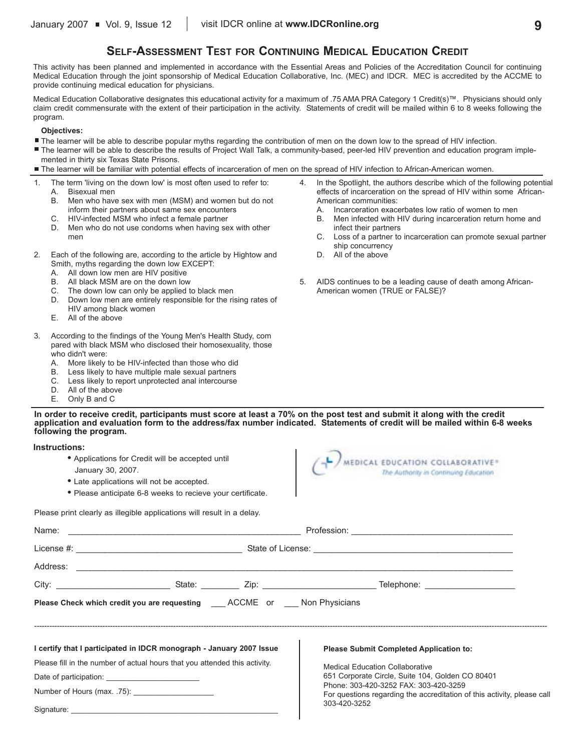## **SELF-ASSESSMENT TEST FOR CONTINUING MEDICAL EDUCATION CREDIT**

This activity has been planned and implemented in accordance with the Essential Areas and Policies of the Accreditation Council for continuing Medical Education through the joint sponsorship of Medical Education Collaborative, Inc. (MEC) and IDCR. MEC is accredited by the ACCME to provide continuing medical education for physicians.

Medical Education Collaborative designates this educational activity for a maximum of .75 AMA PRA Category 1 Credit(s)™. Physicians should only claim credit commensurate with the extent of their participation in the activity. Statements of credit will be mailed within 6 to 8 weeks following the program.

#### **Objectives:**

- The learner will be able to describe popular myths regarding the contribution of men on the down low to the spread of HIV infection.
- The learner will be able to describe the results of Project Wall Talk, a community-based, peer-led HIV prevention and education program implemented in thirty six Texas State Prisons.
- The learner will be familiar with potential effects of incarceration of men on the spread of HIV infection to African-American women.
- 1. The term 'living on the down low' is most often used to refer to: A. Bisexual men
	- B. Men who have sex with men (MSM) and women but do not inform their partners about same sex encounters
	- C. HIV-infected MSM who infect a female partner
	- D. Men who do not use condoms when having sex with other men
- 2. Each of the following are, according to the article by Hightow and Smith, myths regarding the down low EXCEPT:
	- A. All down low men are HIV positive
	- B. All black MSM are on the down low
	- C. The down low can only be applied to black men
	- D. Down low men are entirely responsible for the rising rates of HIV among black women
	- E. All of the above
- 3. According to the findings of the Young Men's Health Study, com pared with black MSM who disclosed their homosexuality, those who didn't were:
	- A. More likely to be HIV-infected than those who did
	- B. Less likely to have multiple male sexual partners
	- C. Less likely to report unprotected anal intercourse
	- D. All of the above
	- E. Only B and C

effects of incarceration on the spread of HIV within some African-American communities: Incarceration exacerbates low ratio of women to men

4. In the Spotlight, the authors describe which of the following potential

- B. Men infected with HIV during incarceration return home and infect their partners
- C. Loss of a partner to incarceration can promote sexual partner ship concurrency
- D. All of the above
- 5. AIDS continues to be a leading cause of death among African-American women (TRUE or FALSE)?

**In order to receive credit, participants must score at least a 70% on the post test and submit it along with the credit application and evaluation form to the address/fax number indicated. Statements of credit will be mailed within 6-8 weeks following the program.**

#### **Instructions:**

Signature:

- **•** Applications for Credit will be accepted until
- January 30, 2007.
- **•** Late applications will not be accepted.
- **•** Please anticipate 6-8 weeks to recieve your certificate.

Please print clearly as illegible applications will result in a delay.

| MEDICAL EDUCATION COLLABORATIVE®      |  |
|---------------------------------------|--|
|                                       |  |
| The Authority in Continuing Education |  |

|  | Please Check which credit you are requesting ACCME or Non Physicians       |  |                                                                                                                                  |  |  |  |  |
|--|----------------------------------------------------------------------------|--|----------------------------------------------------------------------------------------------------------------------------------|--|--|--|--|
|  | I certify that I participated in IDCR monograph - January 2007 Issue       |  | <b>Please Submit Completed Application to:</b>                                                                                   |  |  |  |  |
|  | Please fill in the number of actual hours that you attended this activity. |  | <b>Medical Education Collaborative</b><br>651 Corporate Circle, Suite 104, Golden CO 80401                                       |  |  |  |  |
|  |                                                                            |  |                                                                                                                                  |  |  |  |  |
|  |                                                                            |  | Phone: 303-420-3252 FAX: 303-420-3259<br>For questions regarding the accreditation of this activity, please call<br>303-420-3252 |  |  |  |  |